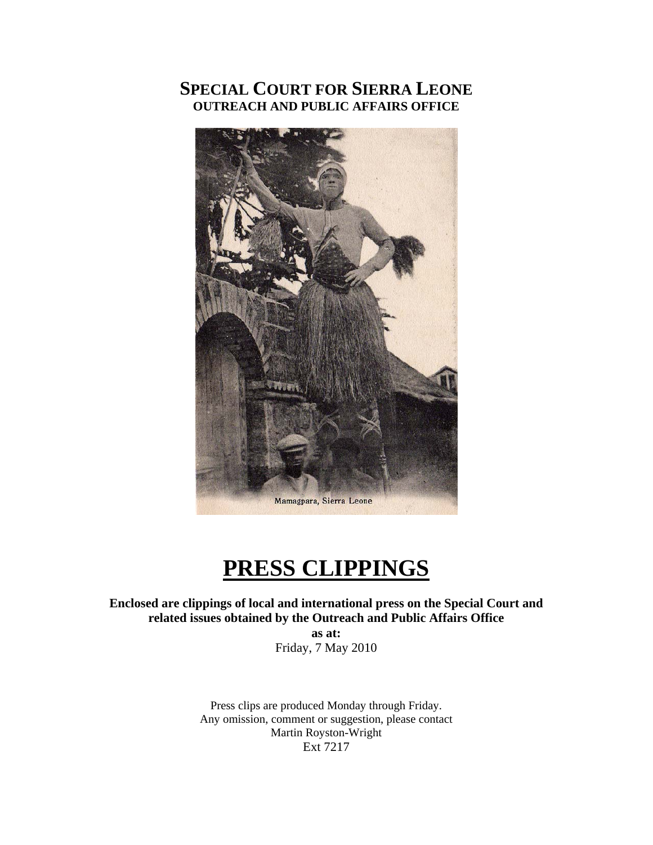# **SPECIAL COURT FOR SIERRA LEONE OUTREACH AND PUBLIC AFFAIRS OFFICE**



# **PRESS CLIPPINGS**

**Enclosed are clippings of local and international press on the Special Court and related issues obtained by the Outreach and Public Affairs Office** 

**as at:**  Friday, 7 May 2010

Press clips are produced Monday through Friday. Any omission, comment or suggestion, please contact Martin Royston-Wright Ext 7217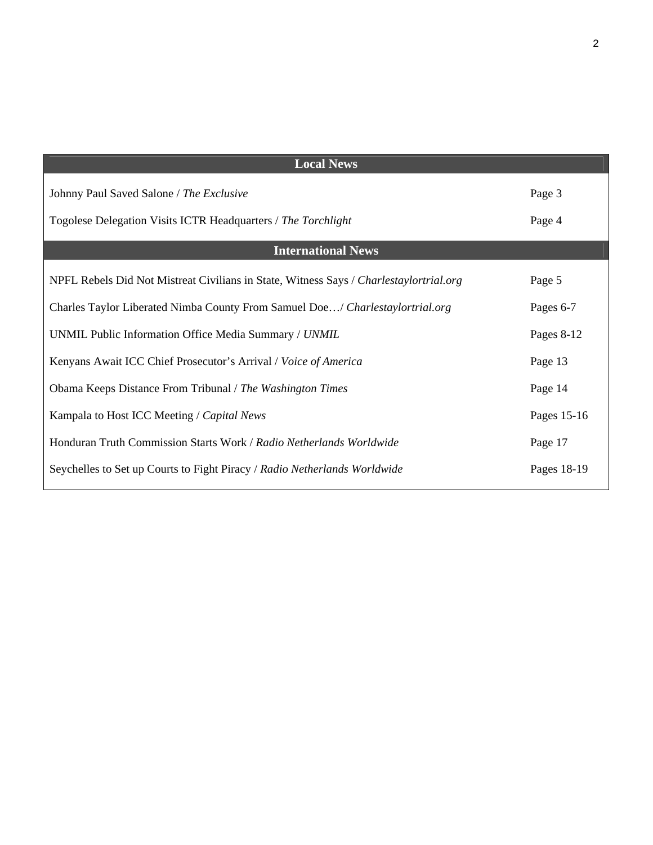| <b>Local News</b>                                                                      |             |
|----------------------------------------------------------------------------------------|-------------|
| Johnny Paul Saved Salone / The Exclusive                                               | Page 3      |
| Togolese Delegation Visits ICTR Headquarters / The Torchlight                          | Page 4      |
| <b>International News</b>                                                              |             |
| NPFL Rebels Did Not Mistreat Civilians in State, Witness Says / Charlestaylortrial.org | Page 5      |
| Charles Taylor Liberated Nimba County From Samuel Doe/ Charlestaylortrial.org          | Pages 6-7   |
| UNMIL Public Information Office Media Summary / UNMIL                                  | Pages 8-12  |
| Kenyans Await ICC Chief Prosecutor's Arrival / Voice of America                        | Page 13     |
| Obama Keeps Distance From Tribunal / The Washington Times                              | Page 14     |
| Kampala to Host ICC Meeting / Capital News                                             | Pages 15-16 |
| Honduran Truth Commission Starts Work / Radio Netherlands Worldwide                    | Page 17     |
| Seychelles to Set up Courts to Fight Piracy / Radio Netherlands Worldwide              | Pages 18-19 |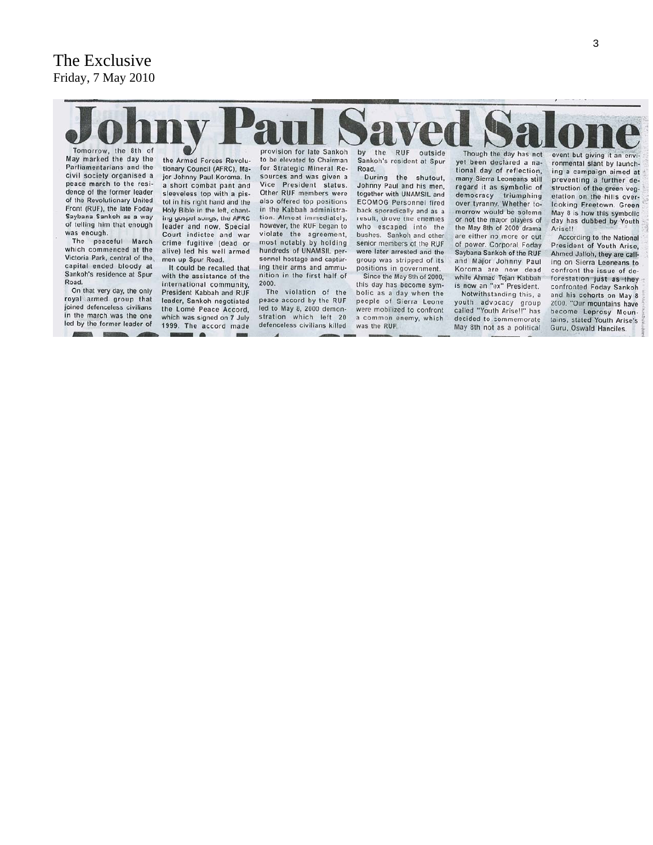# The Exclusive Friday, 7 May 2010



May marked the day the Parliamentarians and the civil society organised a peace march to the residence of the former leader of the Revolutionary United Front (RUF), the late Foday Saybana Sankoh as a way of telling him that enough was enough.

The peaceful March which commenced at the Victoria Park, central of the. capital ended bloody at Sankoh's residence at Spur Road.

On that very day, the only royal armed group that joined defenceless civilians in the march was the one led by the former leader of

the Armed Forces Revolutionary Council (AFRC), Major Johnny Paul Koroma. In a short combat pant and sleeveless top with a pistol in his right hand and the Holy Bible in the left, chanting gospel songs, the AFRC leader and now, Special Court indictee and war crime fugitive (dead or alive) led his well armed men up Spur Road.

It could be recalled that with the assistance of the international community, President Kabbah and RUF leader, Sankoh negotiated the Lomé Peace Accord, which was signed on 7 July 1999. The accord made . .

provision for late Sankoh to be elevated to Chairman for Strategic Mineral Resources and was given a Vice President status. Other RUF members were also offered top positions in the Kabbah administration. Almost immediately. however, the RUF began to violate the agreement, most notably by holding hundreds of UNAMSIL personnel hostage and capturing their arms and ammunition in the first half of 2000.

The violation of the peace accord by the RUF led to May 8, 2000 demonstration which left 20 defenceless civilians killed by the RUF outside Sankoh's resident at Spur Road.

During the shutout, Johnny Paul and his men, together with UNAMSIL and **ECOMOG Personnel fired** back sporadically and as a result, drove the enemies who escaped into the bushes. Sankoh and other senior members of the RUF were later arrested and the group was stripped of its positions in government.

Since the May 8th of 2000, this day has become symbolic as a day when the people of Sierra Leone were mobilized to confront a common enemy, which was the RUF.

Though the day has not yet been declared a national day of reflection, many Sierra Leoneans still regard it as symbolic of democracy triumphing over tyranny. Whether tomorrow would be solemn or not the major players of the May 8th of 2000 drama are either no more or out of power. Corporal Foday Saybana Sankoh of the RUF and Major Johnny Paul Koroma are now dead while Ahmad Tejan Kabbah is now an "ex" President.

Notwithstanding this, a youth advocacy group called "Youth Arise!!" has decided to commemorate May 8th not as a political

event but giving it an ronmental slant by launching a campaign aimed at preventing a further destruction of the green vegetation on the hills overlooking Freetown. Green May 8 is how this symbolic day has dubbed by Youth Arise!!

According to the National President of Youth Arise, Ahmed Jalloh, they are calling on Sierra Leoneans to confront the issue of deforestation just as they confronted Foday Sankoh and his cohorts on May 8 2000. "Our mountains have become Leprosy Mountains, stated Youth Arise's Guru, Oswald Hanciles.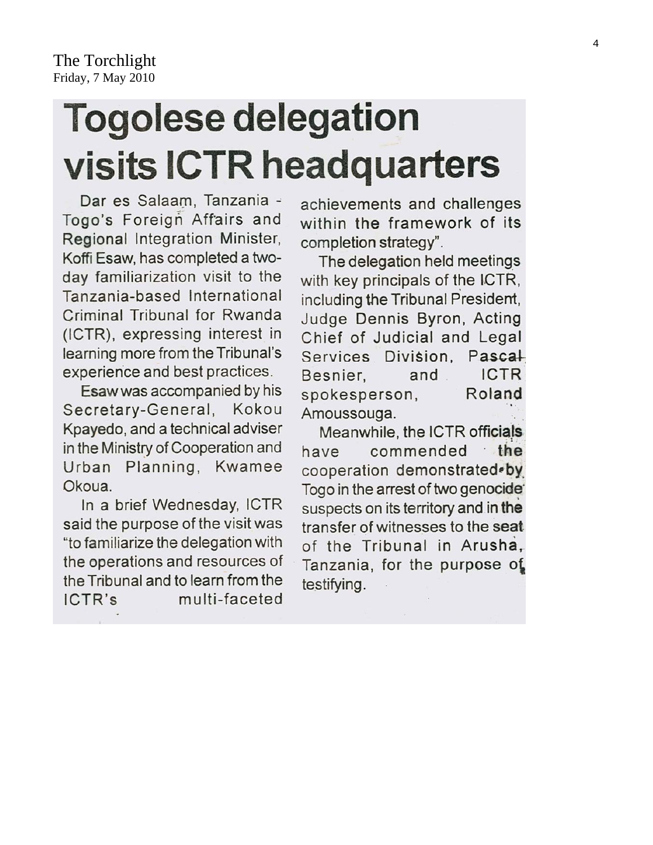# **Togolese delegation** visits ICTR headquarters

Dar es Salaam, Tanzania -Togo's Foreign Affairs and Regional Integration Minister, Koffi Esaw, has completed a twoday familiarization visit to the Tanzania-based International Criminal Tribunal for Rwanda (ICTR), expressing interest in learning more from the Tribunal's experience and best practices.

Esaw was accompanied by his Secretary-General, Kokou Kpayedo, and a technical adviser in the Ministry of Cooperation and Urban Planning, Kwamee Okoua.

In a brief Wednesday, ICTR said the purpose of the visit was "to familiarize the delegation with the operations and resources of the Tribunal and to learn from the multi-faceted ICTR's

achievements and challenges within the framework of its completion strategy".

The delegation held meetings with key principals of the ICTR, including the Tribunal President, Judge Dennis Byron, Acting Chief of Judicial and Legal Pascal Services Division, **ICTR** and Besnier, spokesperson, Roland Amoussouga.

Meanwhile, the ICTR officials the commended have cooperation demonstrated.by Togo in the arrest of two genocide suspects on its territory and in the transfer of witnesses to the seat of the Tribunal in Arusha. Tanzania, for the purpose of testifying.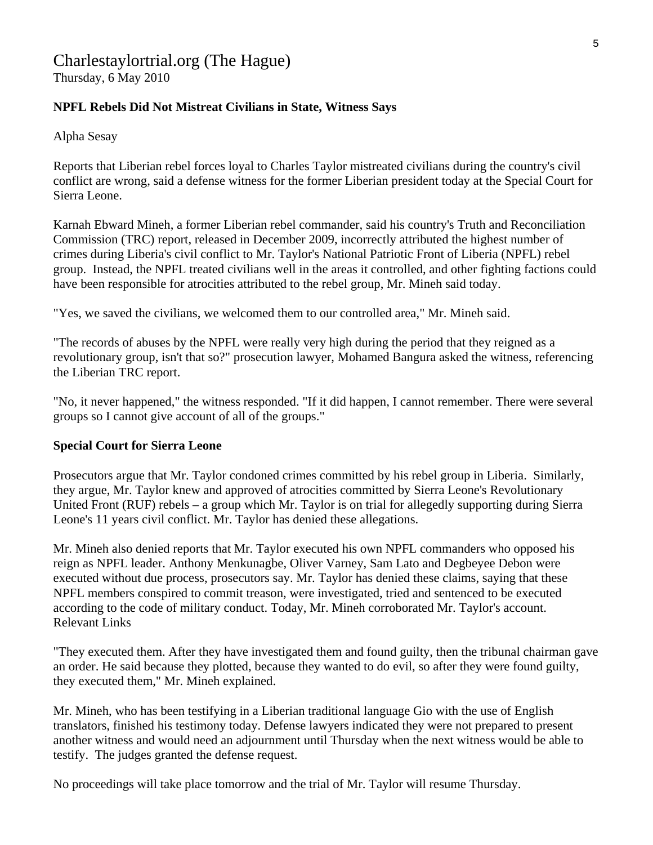# Charlestaylortrial.org (The Hague)

Thursday, 6 May 2010

#### **NPFL Rebels Did Not Mistreat Civilians in State, Witness Says**

Alpha Sesay

Reports that Liberian rebel forces loyal to Charles Taylor mistreated civilians during the country's civil conflict are wrong, said a defense witness for the former Liberian president today at the Special Court for Sierra Leone.

Karnah Ebward Mineh, a former Liberian rebel commander, said his country's Truth and Reconciliation Commission (TRC) report, released in December 2009, incorrectly attributed the highest number of crimes during Liberia's civil conflict to Mr. Taylor's National Patriotic Front of Liberia (NPFL) rebel group. Instead, the NPFL treated civilians well in the areas it controlled, and other fighting factions could have been responsible for atrocities attributed to the rebel group, Mr. Mineh said today.

"Yes, we saved the civilians, we welcomed them to our controlled area," Mr. Mineh said.

"The records of abuses by the NPFL were really very high during the period that they reigned as a revolutionary group, isn't that so?" prosecution lawyer, Mohamed Bangura asked the witness, referencing the Liberian TRC report.

"No, it never happened," the witness responded. "If it did happen, I cannot remember. There were several groups so I cannot give account of all of the groups."

#### **Special Court for Sierra Leone**

Prosecutors argue that Mr. Taylor condoned crimes committed by his rebel group in Liberia. Similarly, they argue, Mr. Taylor knew and approved of atrocities committed by Sierra Leone's Revolutionary United Front (RUF) rebels – a group which Mr. Taylor is on trial for allegedly supporting during Sierra Leone's 11 years civil conflict. Mr. Taylor has denied these allegations.

Mr. Mineh also denied reports that Mr. Taylor executed his own NPFL commanders who opposed his reign as NPFL leader. Anthony Menkunagbe, Oliver Varney, Sam Lato and Degbeyee Debon were executed without due process, prosecutors say. Mr. Taylor has denied these claims, saying that these NPFL members conspired to commit treason, were investigated, tried and sentenced to be executed according to the code of military conduct. Today, Mr. Mineh corroborated Mr. Taylor's account. Relevant Links

"They executed them. After they have investigated them and found guilty, then the tribunal chairman gave an order. He said because they plotted, because they wanted to do evil, so after they were found guilty, they executed them," Mr. Mineh explained.

Mr. Mineh, who has been testifying in a Liberian traditional language Gio with the use of English translators, finished his testimony today. Defense lawyers indicated they were not prepared to present another witness and would need an adjournment until Thursday when the next witness would be able to testify. The judges granted the defense request.

No proceedings will take place tomorrow and the trial of Mr. Taylor will resume Thursday.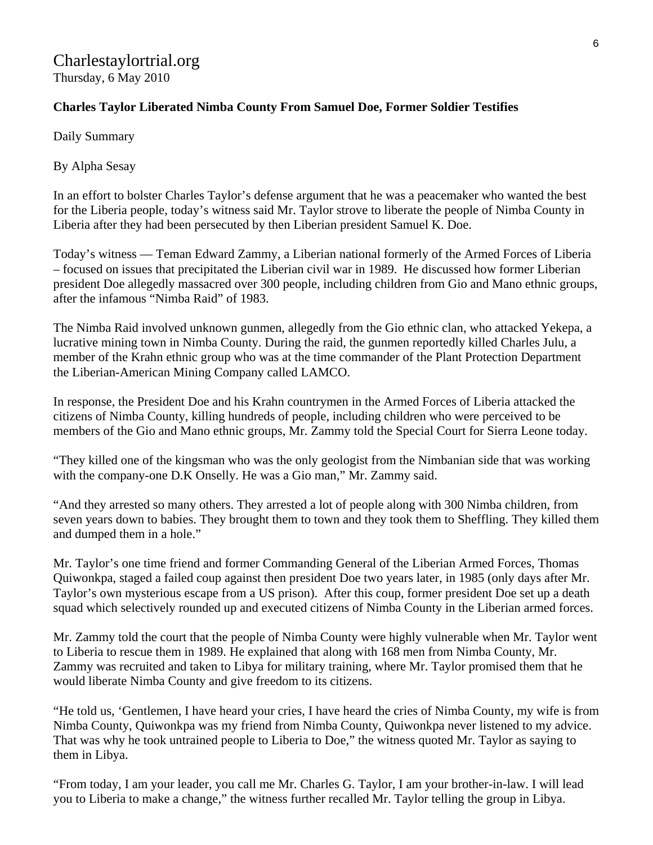# Charlestaylortrial.org Thursday, 6 May 2010

# **Charles Taylor Liberated Nimba County From Samuel Doe, Former Soldier Testifies**

Daily Summary

By Alpha Sesay

In an effort to bolster Charles Taylor's defense argument that he was a peacemaker who wanted the best for the Liberia people, today's witness said Mr. Taylor strove to liberate the people of Nimba County in Liberia after they had been persecuted by then Liberian president Samuel K. Doe.

Today's witness — Teman Edward Zammy, a Liberian national formerly of the Armed Forces of Liberia – focused on issues that precipitated the Liberian civil war in 1989. He discussed how former Liberian president Doe allegedly massacred over 300 people, including children from Gio and Mano ethnic groups, after the infamous "Nimba Raid" of 1983.

The Nimba Raid involved unknown gunmen, allegedly from the Gio ethnic clan, who attacked Yekepa, a lucrative mining town in Nimba County. During the raid, the gunmen reportedly killed Charles Julu, a member of the Krahn ethnic group who was at the time commander of the Plant Protection Department the Liberian-American Mining Company called LAMCO.

In response, the President Doe and his Krahn countrymen in the Armed Forces of Liberia attacked the citizens of Nimba County, killing hundreds of people, including children who were perceived to be members of the Gio and Mano ethnic groups, Mr. Zammy told the Special Court for Sierra Leone today.

"They killed one of the kingsman who was the only geologist from the Nimbanian side that was working with the company-one D.K Onselly. He was a Gio man," Mr. Zammy said.

"And they arrested so many others. They arrested a lot of people along with 300 Nimba children, from seven years down to babies. They brought them to town and they took them to Sheffling. They killed them and dumped them in a hole."

Mr. Taylor's one time friend and former Commanding General of the Liberian Armed Forces, Thomas Quiwonkpa, staged a failed coup against then president Doe two years later, in 1985 (only days after Mr. Taylor's own mysterious escape from a US prison). After this coup, former president Doe set up a death squad which selectively rounded up and executed citizens of Nimba County in the Liberian armed forces.

Mr. Zammy told the court that the people of Nimba County were highly vulnerable when Mr. Taylor went to Liberia to rescue them in 1989. He explained that along with 168 men from Nimba County, Mr. Zammy was recruited and taken to Libya for military training, where Mr. Taylor promised them that he would liberate Nimba County and give freedom to its citizens.

"He told us, 'Gentlemen, I have heard your cries, I have heard the cries of Nimba County, my wife is from Nimba County, Quiwonkpa was my friend from Nimba County, Quiwonkpa never listened to my advice. That was why he took untrained people to Liberia to Doe," the witness quoted Mr. Taylor as saying to them in Libya.

"From today, I am your leader, you call me Mr. Charles G. Taylor, I am your brother-in-law. I will lead you to Liberia to make a change," the witness further recalled Mr. Taylor telling the group in Libya.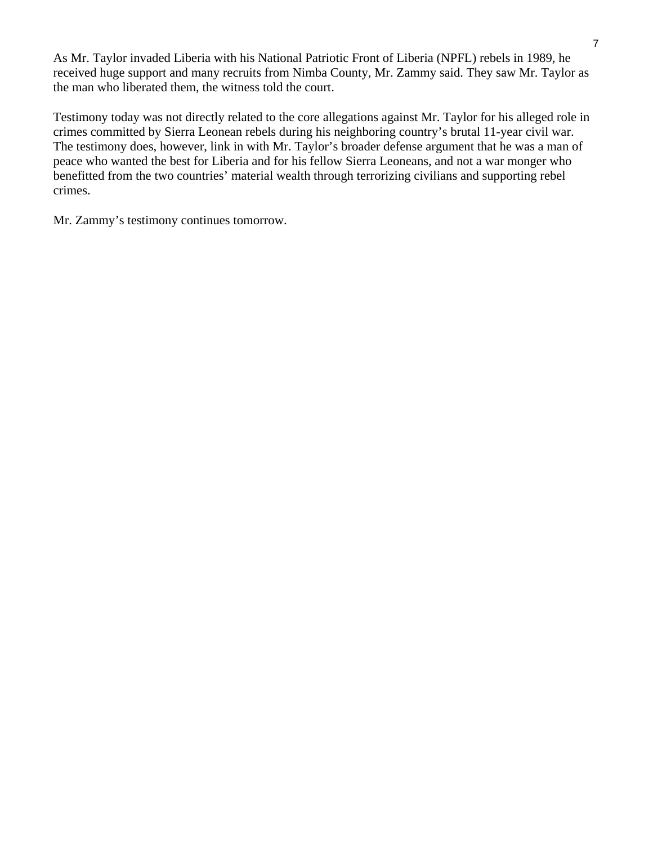As Mr. Taylor invaded Liberia with his National Patriotic Front of Liberia (NPFL) rebels in 1989, he received huge support and many recruits from Nimba County, Mr. Zammy said. They saw Mr. Taylor as the man who liberated them, the witness told the court.

Testimony today was not directly related to the core allegations against Mr. Taylor for his alleged role in crimes committed by Sierra Leonean rebels during his neighboring country's brutal 11-year civil war. The testimony does, however, link in with Mr. Taylor's broader defense argument that he was a man of peace who wanted the best for Liberia and for his fellow Sierra Leoneans, and not a war monger who benefitted from the two countries' material wealth through terrorizing civilians and supporting rebel crimes.

Mr. Zammy's testimony continues tomorrow.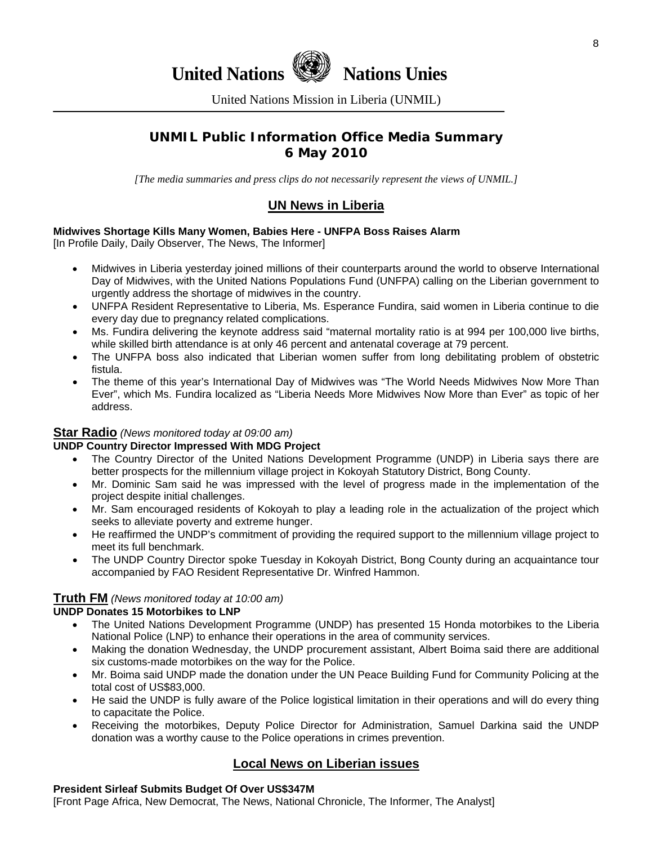

United Nations Mission in Liberia (UNMIL)

# **UNMIL Public Information Office Media Summary 6 May 2010**

*[The media summaries and press clips do not necessarily represent the views of UNMIL.]* 

# **UN News in Liberia**

#### **Midwives Shortage Kills Many Women, Babies Here - UNFPA Boss Raises Alarm**

[In Profile Daily, Daily Observer, The News, The Informer]

- Midwives in Liberia yesterday joined millions of their counterparts around the world to observe International Day of Midwives, with the United Nations Populations Fund (UNFPA) calling on the Liberian government to urgently address the shortage of midwives in the country.
- UNFPA Resident Representative to Liberia, Ms. Esperance Fundira, said women in Liberia continue to die every day due to pregnancy related complications.
- Ms. Fundira delivering the keynote address said "maternal mortality ratio is at 994 per 100,000 live births, while skilled birth attendance is at only 46 percent and antenatal coverage at 79 percent.
- The UNFPA boss also indicated that Liberian women suffer from long debilitating problem of obstetric fistula.
- The theme of this year's International Day of Midwives was "The World Needs Midwives Now More Than Ever", which Ms. Fundira localized as "Liberia Needs More Midwives Now More than Ever" as topic of her address.

#### **Star Radio** *(News monitored today at 09:00 am)*

#### **UNDP Country Director Impressed With MDG Project**

- The Country Director of the United Nations Development Programme (UNDP) in Liberia says there are better prospects for the millennium village project in Kokoyah Statutory District, Bong County.
- Mr. Dominic Sam said he was impressed with the level of progress made in the implementation of the project despite initial challenges.
- Mr. Sam encouraged residents of Kokoyah to play a leading role in the actualization of the project which seeks to alleviate poverty and extreme hunger.
- He reaffirmed the UNDP's commitment of providing the required support to the millennium village project to meet its full benchmark.
- The UNDP Country Director spoke Tuesday in Kokoyah District, Bong County during an acquaintance tour accompanied by FAO Resident Representative Dr. Winfred Hammon.

#### **Truth FM** *(News monitored today at 10:00 am)*

#### **UNDP Donates 15 Motorbikes to LNP**

- The United Nations Development Programme (UNDP) has presented 15 Honda motorbikes to the Liberia National Police (LNP) to enhance their operations in the area of community services.
- Making the donation Wednesday, the UNDP procurement assistant, Albert Boima said there are additional six customs-made motorbikes on the way for the Police.
- Mr. Boima said UNDP made the donation under the UN Peace Building Fund for Community Policing at the total cost of US\$83,000.
- He said the UNDP is fully aware of the Police logistical limitation in their operations and will do every thing to capacitate the Police.
- Receiving the motorbikes, Deputy Police Director for Administration, Samuel Darkina said the UNDP donation was a worthy cause to the Police operations in crimes prevention.

# **Local News on Liberian issues**

#### **President Sirleaf Submits Budget Of Over US\$347M**

[Front Page Africa, New Democrat, The News, National Chronicle, The Informer, The Analyst]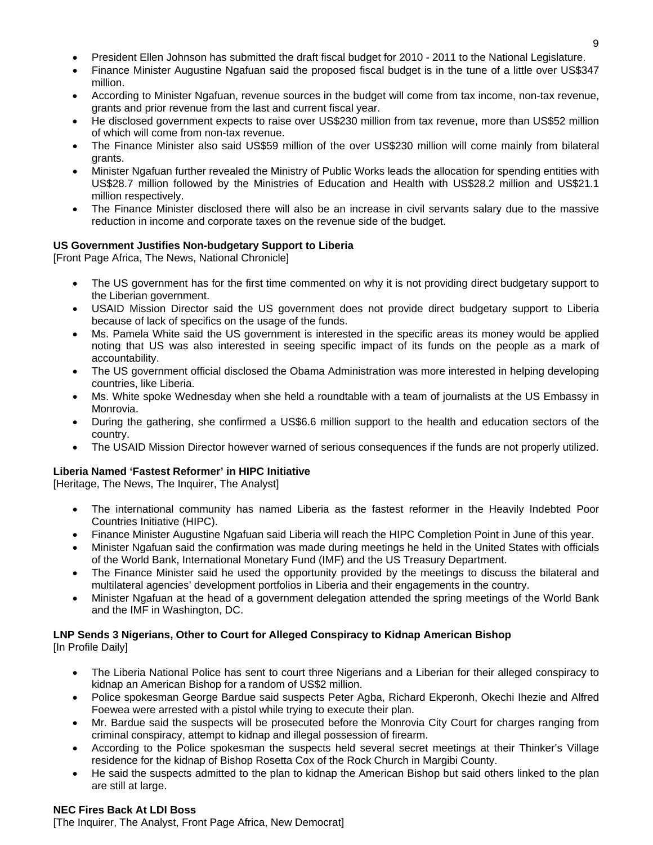- President Ellen Johnson has submitted the draft fiscal budget for 2010 2011 to the National Legislature.
- Finance Minister Augustine Ngafuan said the proposed fiscal budget is in the tune of a little over US\$347 million.
- According to Minister Ngafuan, revenue sources in the budget will come from tax income, non-tax revenue, grants and prior revenue from the last and current fiscal year.
- He disclosed government expects to raise over US\$230 million from tax revenue, more than US\$52 million of which will come from non-tax revenue.
- The Finance Minister also said US\$59 million of the over US\$230 million will come mainly from bilateral grants.
- Minister Ngafuan further revealed the Ministry of Public Works leads the allocation for spending entities with US\$28.7 million followed by the Ministries of Education and Health with US\$28.2 million and US\$21.1 million respectively.
- The Finance Minister disclosed there will also be an increase in civil servants salary due to the massive reduction in income and corporate taxes on the revenue side of the budget.

#### **US Government Justifies Non-budgetary Support to Liberia**

[Front Page Africa, The News, National Chronicle]

- The US government has for the first time commented on why it is not providing direct budgetary support to the Liberian government.
- USAID Mission Director said the US government does not provide direct budgetary support to Liberia because of lack of specifics on the usage of the funds.
- Ms. Pamela White said the US government is interested in the specific areas its money would be applied noting that US was also interested in seeing specific impact of its funds on the people as a mark of accountability.
- The US government official disclosed the Obama Administration was more interested in helping developing countries, like Liberia.
- Ms. White spoke Wednesday when she held a roundtable with a team of journalists at the US Embassy in Monrovia.
- During the gathering, she confirmed a US\$6.6 million support to the health and education sectors of the country.
- The USAID Mission Director however warned of serious consequences if the funds are not properly utilized.

#### **Liberia Named 'Fastest Reformer' in HIPC Initiative**

[Heritage, The News, The Inquirer, The Analyst]

- The international community has named Liberia as the fastest reformer in the Heavily Indebted Poor Countries Initiative (HIPC).
- Finance Minister Augustine Ngafuan said Liberia will reach the HIPC Completion Point in June of this year.
- Minister Ngafuan said the confirmation was made during meetings he held in the United States with officials of the World Bank, International Monetary Fund (IMF) and the US Treasury Department.
- The Finance Minister said he used the opportunity provided by the meetings to discuss the bilateral and multilateral agencies' development portfolios in Liberia and their engagements in the country.
- Minister Ngafuan at the head of a government delegation attended the spring meetings of the World Bank and the IMF in Washington, DC.

#### **LNP Sends 3 Nigerians, Other to Court for Alleged Conspiracy to Kidnap American Bishop**  [In Profile Daily]

- The Liberia National Police has sent to court three Nigerians and a Liberian for their alleged conspiracy to kidnap an American Bishop for a random of US\$2 million.
- Police spokesman George Bardue said suspects Peter Agba, Richard Ekperonh, Okechi Ihezie and Alfred Foewea were arrested with a pistol while trying to execute their plan.
- Mr. Bardue said the suspects will be prosecuted before the Monrovia City Court for charges ranging from criminal conspiracy, attempt to kidnap and illegal possession of firearm.
- According to the Police spokesman the suspects held several secret meetings at their Thinker's Village residence for the kidnap of Bishop Rosetta Cox of the Rock Church in Margibi County.
- He said the suspects admitted to the plan to kidnap the American Bishop but said others linked to the plan are still at large.

#### **NEC Fires Back At LDI Boss**

[The Inquirer, The Analyst, Front Page Africa, New Democrat]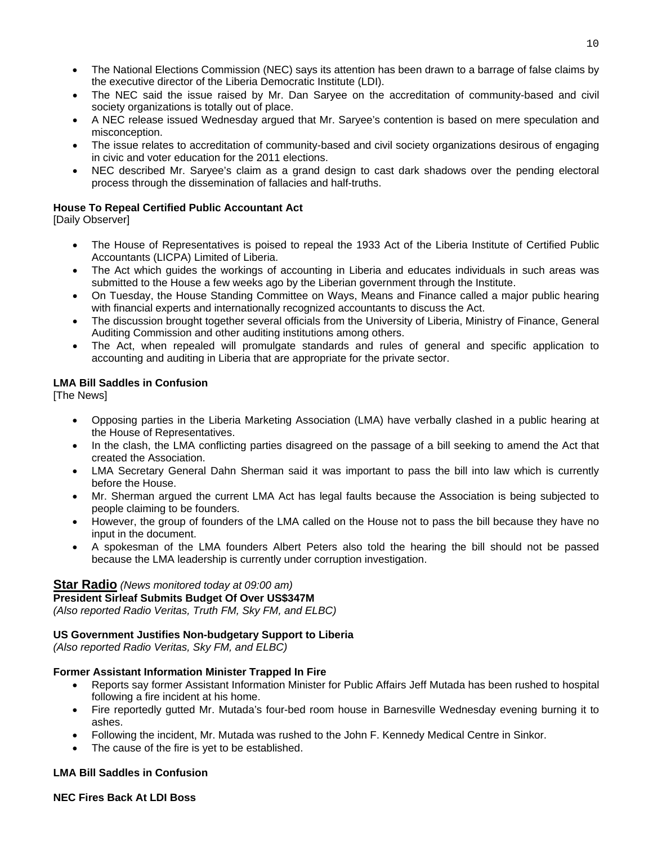- The National Elections Commission (NEC) says its attention has been drawn to a barrage of false claims by the executive director of the Liberia Democratic Institute (LDI).
- The NEC said the issue raised by Mr. Dan Saryee on the accreditation of community-based and civil society organizations is totally out of place.
- A NEC release issued Wednesday argued that Mr. Saryee's contention is based on mere speculation and misconception.
- The issue relates to accreditation of community-based and civil society organizations desirous of engaging in civic and voter education for the 2011 elections.
- NEC described Mr. Saryee's claim as a grand design to cast dark shadows over the pending electoral process through the dissemination of fallacies and half-truths.

#### **House To Repeal Certified Public Accountant Act**

[Daily Observer]

- The House of Representatives is poised to repeal the 1933 Act of the Liberia Institute of Certified Public Accountants (LICPA) Limited of Liberia.
- The Act which guides the workings of accounting in Liberia and educates individuals in such areas was submitted to the House a few weeks ago by the Liberian government through the Institute.
- On Tuesday, the House Standing Committee on Ways, Means and Finance called a major public hearing with financial experts and internationally recognized accountants to discuss the Act.
- The discussion brought together several officials from the University of Liberia, Ministry of Finance, General Auditing Commission and other auditing institutions among others.
- The Act, when repealed will promulgate standards and rules of general and specific application to accounting and auditing in Liberia that are appropriate for the private sector.

#### **LMA Bill Saddles in Confusion**

[The News]

- Opposing parties in the Liberia Marketing Association (LMA) have verbally clashed in a public hearing at the House of Representatives.
- In the clash, the LMA conflicting parties disagreed on the passage of a bill seeking to amend the Act that created the Association.
- LMA Secretary General Dahn Sherman said it was important to pass the bill into law which is currently before the House.
- Mr. Sherman argued the current LMA Act has legal faults because the Association is being subjected to people claiming to be founders.
- However, the group of founders of the LMA called on the House not to pass the bill because they have no input in the document.
- A spokesman of the LMA founders Albert Peters also told the hearing the bill should not be passed because the LMA leadership is currently under corruption investigation.

#### **Star Radio** *(News monitored today at 09:00 am)*

#### **President Sirleaf Submits Budget Of Over US\$347M**

*(Also reported Radio Veritas, Truth FM, Sky FM, and ELBC)*

#### **US Government Justifies Non-budgetary Support to Liberia**

*(Also reported Radio Veritas, Sky FM, and ELBC)*

#### **Former Assistant Information Minister Trapped In Fire**

- Reports say former Assistant Information Minister for Public Affairs Jeff Mutada has been rushed to hospital following a fire incident at his home.
- Fire reportedly gutted Mr. Mutada's four-bed room house in Barnesville Wednesday evening burning it to ashes.
- Following the incident, Mr. Mutada was rushed to the John F. Kennedy Medical Centre in Sinkor.
- The cause of the fire is yet to be established.

#### **LMA Bill Saddles in Confusion**

#### **NEC Fires Back At LDI Boss**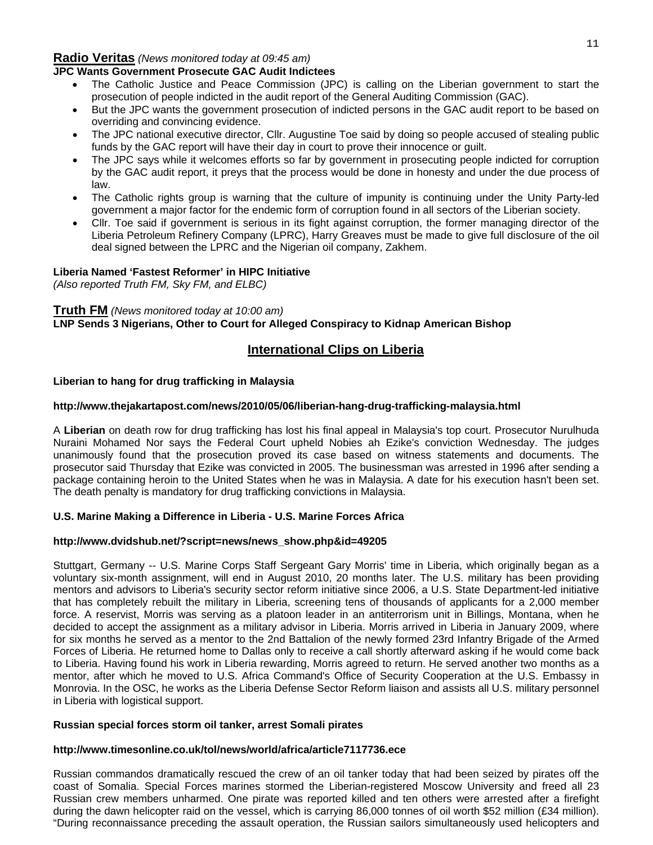#### **Radio Veritas** *(News monitored today at 09:45 am)*

#### **JPC Wants Government Prosecute GAC Audit Indictees**

- The Catholic Justice and Peace Commission (JPC) is calling on the Liberian government to start the prosecution of people indicted in the audit report of the General Auditing Commission (GAC).
- But the JPC wants the government prosecution of indicted persons in the GAC audit report to be based on overriding and convincing evidence.
- The JPC national executive director, Cllr. Augustine Toe said by doing so people accused of stealing public funds by the GAC report will have their day in court to prove their innocence or guilt.
- The JPC says while it welcomes efforts so far by government in prosecuting people indicted for corruption by the GAC audit report, it preys that the process would be done in honesty and under the due process of law.
- The Catholic rights group is warning that the culture of impunity is continuing under the Unity Party-led government a major factor for the endemic form of corruption found in all sectors of the Liberian society.
- Cllr. Toe said if government is serious in its fight against corruption, the former managing director of the Liberia Petroleum Refinery Company (LPRC), Harry Greaves must be made to give full disclosure of the oil deal signed between the LPRC and the Nigerian oil company, Zakhem.

#### **Liberia Named 'Fastest Reformer' in HIPC Initiative**

*(Also reported Truth FM, Sky FM, and ELBC)*

#### **Truth FM** *(News monitored today at 10:00 am)*

**LNP Sends 3 Nigerians, Other to Court for Alleged Conspiracy to Kidnap American Bishop** 

#### **International Clips on Liberia**

#### **Liberian to hang for drug trafficking in Malaysia**

#### **http://www.thejakartapost.com/news/2010/05/06/liberian-hang-drug-trafficking-malaysia.html**

A **Liberian** on death row for drug trafficking has lost his final appeal in Malaysia's top court. Prosecutor Nurulhuda Nuraini Mohamed Nor says the Federal Court upheld Nobies ah Ezike's conviction Wednesday. The judges unanimously found that the prosecution proved its case based on witness statements and documents. The prosecutor said Thursday that Ezike was convicted in 2005. The businessman was arrested in 1996 after sending a package containing heroin to the United States when he was in Malaysia. A date for his execution hasn't been set. The death penalty is mandatory for drug trafficking convictions in Malaysia.

#### **U.S. Marine Making a Difference in Liberia - U.S. Marine Forces Africa**

#### **http://www.dvidshub.net/?script=news/news\_show.php&id=49205**

Stuttgart, Germany -- U.S. Marine Corps Staff Sergeant Gary Morris' time in Liberia, which originally began as a voluntary six-month assignment, will end in August 2010, 20 months later. The U.S. military has been providing mentors and advisors to Liberia's security sector reform initiative since 2006, a U.S. State Department-led initiative that has completely rebuilt the military in Liberia, screening tens of thousands of applicants for a 2,000 member force. A reservist, Morris was serving as a platoon leader in an antiterrorism unit in Billings, Montana, when he decided to accept the assignment as a military advisor in Liberia. Morris arrived in Liberia in January 2009, where for six months he served as a mentor to the 2nd Battalion of the newly formed 23rd Infantry Brigade of the Armed Forces of Liberia. He returned home to Dallas only to receive a call shortly afterward asking if he would come back to Liberia. Having found his work in Liberia rewarding, Morris agreed to return. He served another two months as a mentor, after which he moved to U.S. Africa Command's Office of Security Cooperation at the U.S. Embassy in Monrovia. In the OSC, he works as the Liberia Defense Sector Reform liaison and assists all U.S. military personnel in Liberia with logistical support.

#### **Russian special forces storm oil tanker, arrest Somali pirates**

#### **<http://www.timesonline.co.uk/tol/news/world/africa/article7117736.ece>**

Russian commandos dramatically rescued the crew of an oil tanker today that had been seized by pirates off the coast of Somalia. Special Forces marines stormed the Liberian-registered Moscow University and freed all 23 Russian crew members unharmed. One pirate was reported killed and ten others were arrested after a firefight during the dawn helicopter raid on the vessel, which is carrying 86,000 tonnes of oil worth \$52 million (£34 million). "During reconnaissance preceding the assault operation, the Russian sailors simultaneously used helicopters and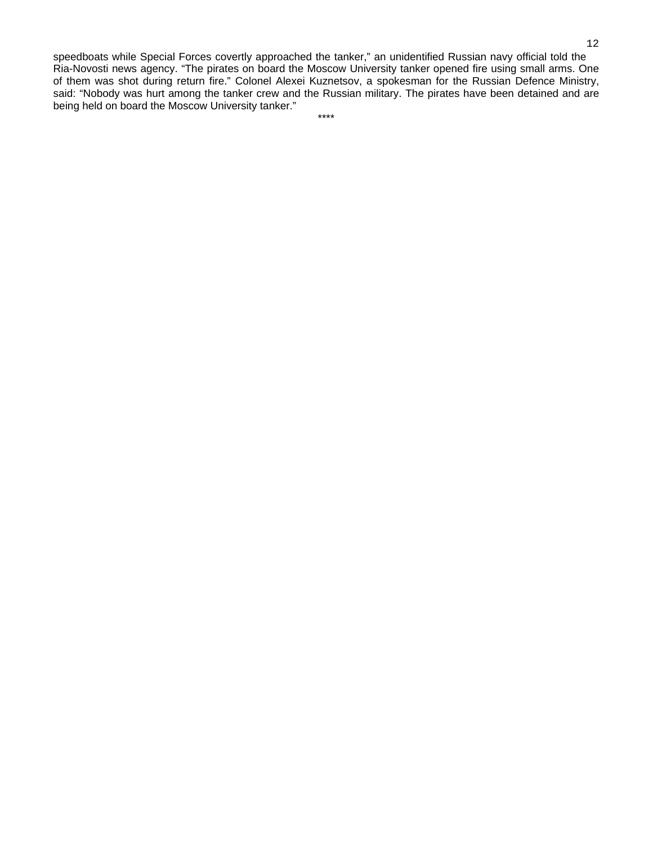speedboats while Special Forces covertly approached the tanker," an unidentified Russian navy official told the Ria-Novosti news agency. "The pirates on board the Moscow University tanker opened fire using small arms. One of them was shot during return fire." Colonel Alexei Kuznetsov, a spokesman for the Russian Defence Ministry, said: "Nobody was hurt among the tanker crew and the Russian military. The pirates have been detained and are being held on board the Moscow University tanker."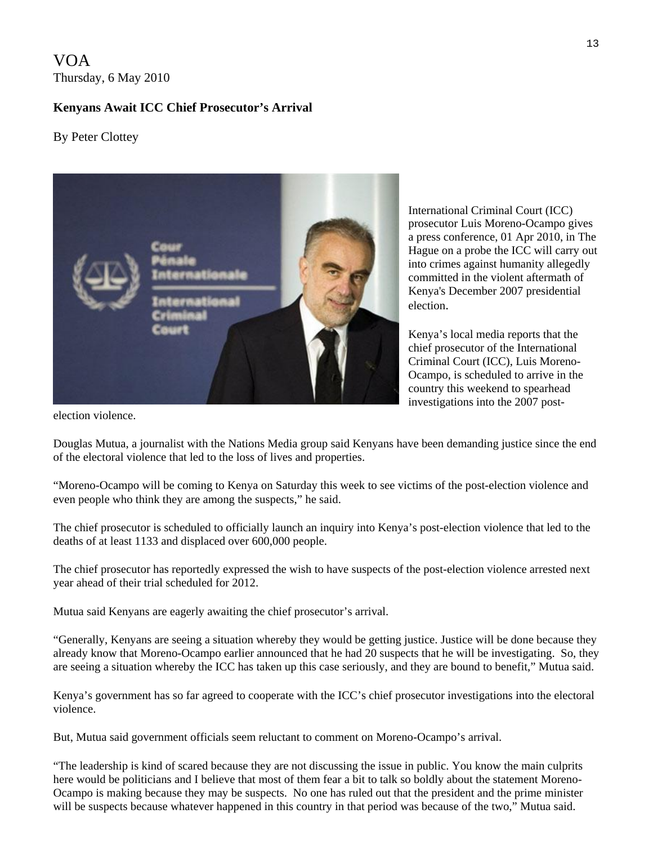VOA Thursday, 6 May 2010

# **Kenyans Await ICC Chief Prosecutor's Arrival**

By Peter Clottey



International Criminal Court (ICC) prosecutor Luis Moreno-Ocampo gives a press conference, 01 Apr 2010, in The Hague on a probe the ICC will carry out into crimes against humanity allegedly committed in the violent aftermath of Kenya's December 2007 presidential election.

Kenya's local media reports that the chief prosecutor of the International Criminal Court (ICC), Luis Moreno-Ocampo, is scheduled to arrive in the country this weekend to spearhead investigations into the 2007 post-

election violence.

Douglas Mutua, a journalist with the Nations Media group said Kenyans have been demanding justice since the end of the electoral violence that led to the loss of lives and properties.

"Moreno-Ocampo will be coming to Kenya on Saturday this week to see victims of the post-election violence and even people who think they are among the suspects," he said.

The chief prosecutor is scheduled to officially launch an inquiry into Kenya's post-election violence that led to the deaths of at least 1133 and displaced over 600,000 people.

The chief prosecutor has reportedly expressed the wish to have suspects of the post-election violence arrested next year ahead of their trial scheduled for 2012.

Mutua said Kenyans are eagerly awaiting the chief prosecutor's arrival.

"Generally, Kenyans are seeing a situation whereby they would be getting justice. Justice will be done because they already know that Moreno-Ocampo earlier announced that he had 20 suspects that he will be investigating. So, they are seeing a situation whereby the ICC has taken up this case seriously, and they are bound to benefit," Mutua said.

Kenya's government has so far agreed to cooperate with the ICC's chief prosecutor investigations into the electoral violence.

But, Mutua said government officials seem reluctant to comment on Moreno-Ocampo's arrival.

"The leadership is kind of scared because they are not discussing the issue in public. You know the main culprits here would be politicians and I believe that most of them fear a bit to talk so boldly about the statement Moreno-Ocampo is making because they may be suspects. No one has ruled out that the president and the prime minister will be suspects because whatever happened in this country in that period was because of the two," Mutua said.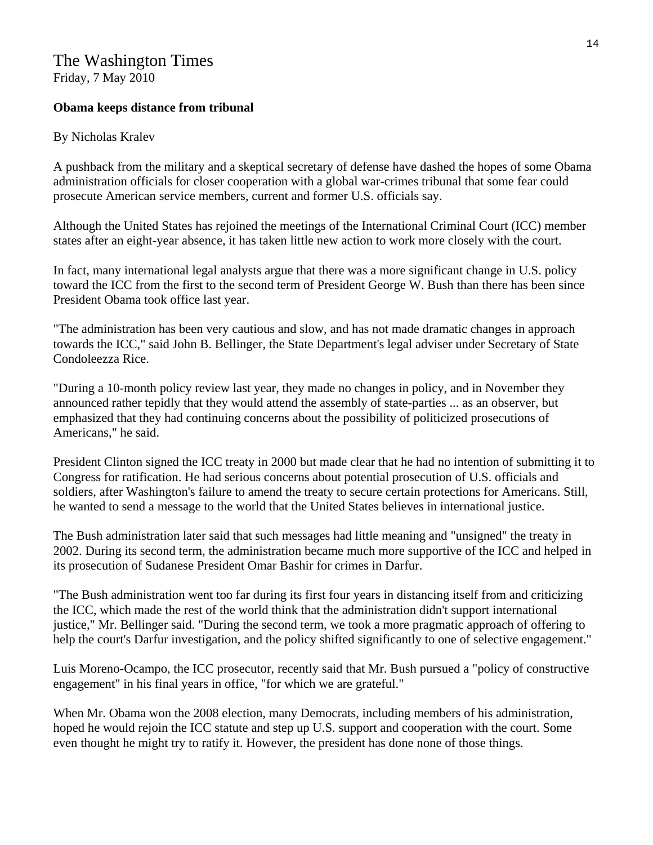# The Washington Times

Friday, 7 May 2010

# **Obama keeps distance from tribunal**

# By [Nicholas Kralev](http://www.washingtontimes.com/staff/nicholas-kralev/)

A pushback from the military and a skeptical secretary of defense have dashed the hopes of some Obama administration officials for closer cooperation with a global war-crimes tribunal that some fear could prosecute American service members, current and former U.S. officials say.

Although the United States has rejoined the meetings of the International Criminal Court (ICC) member states after an eight-year absence, it has taken little new action to work more closely with the court.

In fact, many international legal analysts argue that there was a more significant change in U.S. policy toward the ICC from the first to the second term of President George W. Bush than there has been since President Obama took office last year.

"The administration has been very cautious and slow, and has not made dramatic changes in approach towards the ICC," said John B. Bellinger, the State Department's legal adviser under Secretary of State Condoleezza Rice.

"During a 10-month policy review last year, they made no changes in policy, and in November they announced rather tepidly that they would attend the assembly of state-parties ... as an observer, but emphasized that they had continuing concerns about the possibility of politicized prosecutions of Americans," he said.

President Clinton signed the ICC treaty in 2000 but made clear that he had no intention of submitting it to Congress for ratification. He had serious concerns about potential prosecution of U.S. officials and soldiers, after Washington's failure to amend the treaty to secure certain protections for Americans. Still, he wanted to send a message to the world that the United States believes in international justice.

The Bush administration later said that such messages had little meaning and "unsigned" the treaty in 2002. During its second term, the administration became much more supportive of the ICC and helped in its prosecution of Sudanese President Omar Bashir for crimes in Darfur.

"The Bush administration went too far during its first four years in distancing itself from and criticizing the ICC, which made the rest of the world think that the administration didn't support international justice," Mr. Bellinger said. "During the second term, we took a more pragmatic approach of offering to help the court's Darfur investigation, and the policy shifted significantly to one of selective engagement."

Luis Moreno-Ocampo, the ICC prosecutor, recently said that Mr. Bush pursued a "policy of constructive engagement" in his final years in office, "for which we are grateful."

When Mr. Obama won the 2008 election, many Democrats, including members of his administration, hoped he would rejoin the ICC statute and step up U.S. support and cooperation with the court. Some even thought he might try to ratify it. However, the president has done none of those things.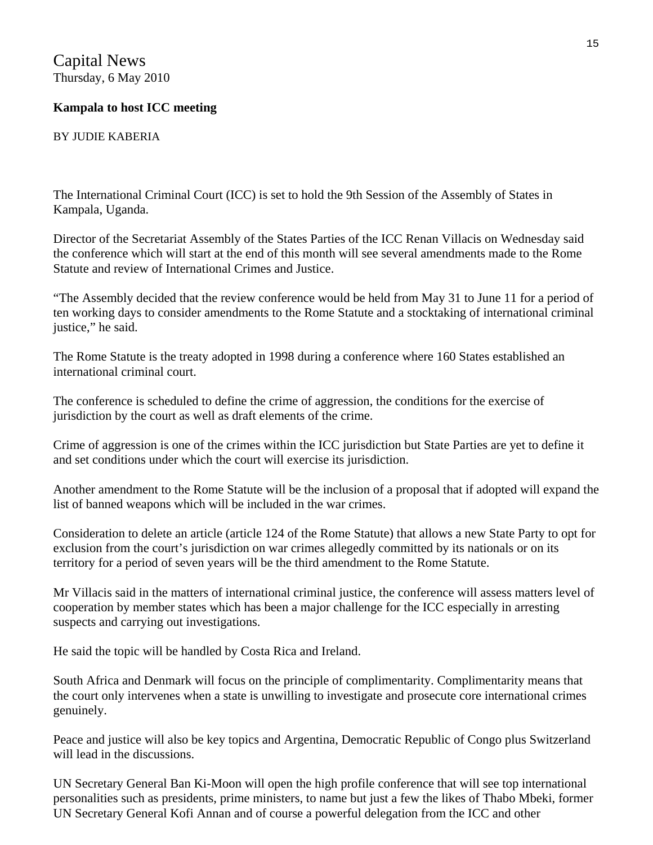Capital News Thursday, 6 May 2010

# **Kampala to host ICC meeting**

BY JUDIE KABERIA

The International Criminal Court (ICC) is set to hold the 9th Session of the Assembly of States in Kampala, Uganda.

Director of the Secretariat Assembly of the States Parties of the ICC Renan Villacis on Wednesday said the conference which will start at the end of this month will see several amendments made to the Rome Statute and review of International Crimes and Justice.

"The Assembly decided that the review conference would be held from May 31 to June 11 for a period of ten working days to consider amendments to the Rome Statute and a stocktaking of international criminal justice," he said.

The Rome Statute is the treaty adopted in 1998 during a conference where 160 States established an international criminal court.

The conference is scheduled to define the crime of aggression, the conditions for the exercise of jurisdiction by the court as well as draft elements of the crime.

Crime of aggression is one of the crimes within the ICC jurisdiction but State Parties are yet to define it and set conditions under which the court will exercise its jurisdiction.

Another amendment to the Rome Statute will be the inclusion of a proposal that if adopted will expand the list of banned weapons which will be included in the war crimes.

Consideration to delete an article (article 124 of the Rome Statute) that allows a new State Party to opt for exclusion from the court's jurisdiction on war crimes allegedly committed by its nationals or on its territory for a period of seven years will be the third amendment to the Rome Statute.

Mr Villacis said in the matters of international criminal justice, the conference will assess matters level of cooperation by member states which has been a major challenge for the ICC especially in arresting suspects and carrying out investigations.

He said the topic will be handled by Costa Rica and Ireland.

South Africa and Denmark will focus on the principle of complimentarity. Complimentarity means that the court only intervenes when a state is unwilling to investigate and prosecute core international crimes genuinely.

Peace and justice will also be key topics and Argentina, Democratic Republic of Congo plus Switzerland will lead in the discussions.

UN Secretary General Ban Ki-Moon will open the high profile conference that will see top international personalities such as presidents, prime ministers, to name but just a few the likes of Thabo Mbeki, former UN Secretary General Kofi Annan and of course a powerful delegation from the ICC and other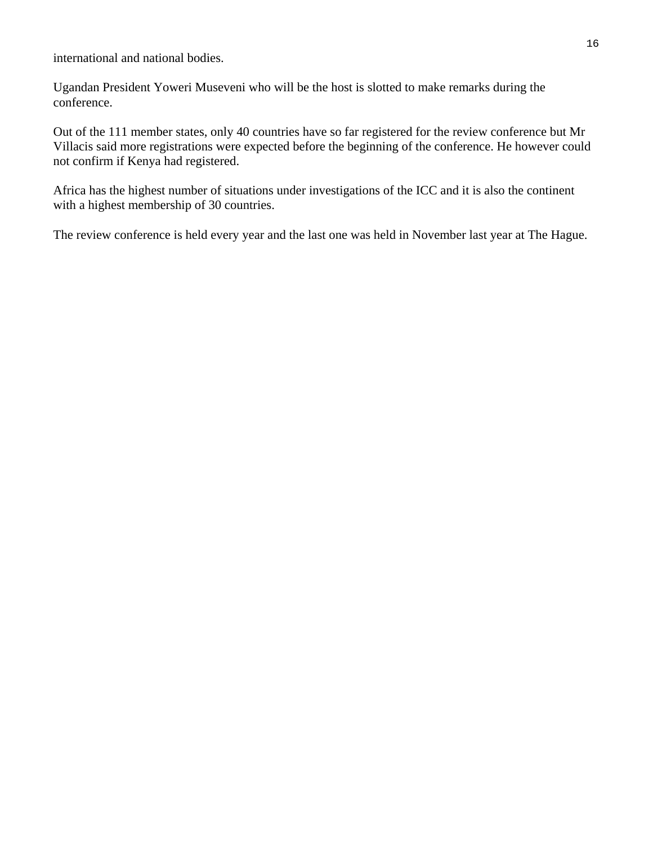international and national bodies.

Ugandan President Yoweri Museveni who will be the host is slotted to make remarks during the conference.

Out of the 111 member states, only 40 countries have so far registered for the review conference but Mr Villacis said more registrations were expected before the beginning of the conference. He however could not confirm if Kenya had registered.

Africa has the highest number of situations under investigations of the ICC and it is also the continent with a highest membership of 30 countries.

The review conference is held every year and the last one was held in November last year at The Hague.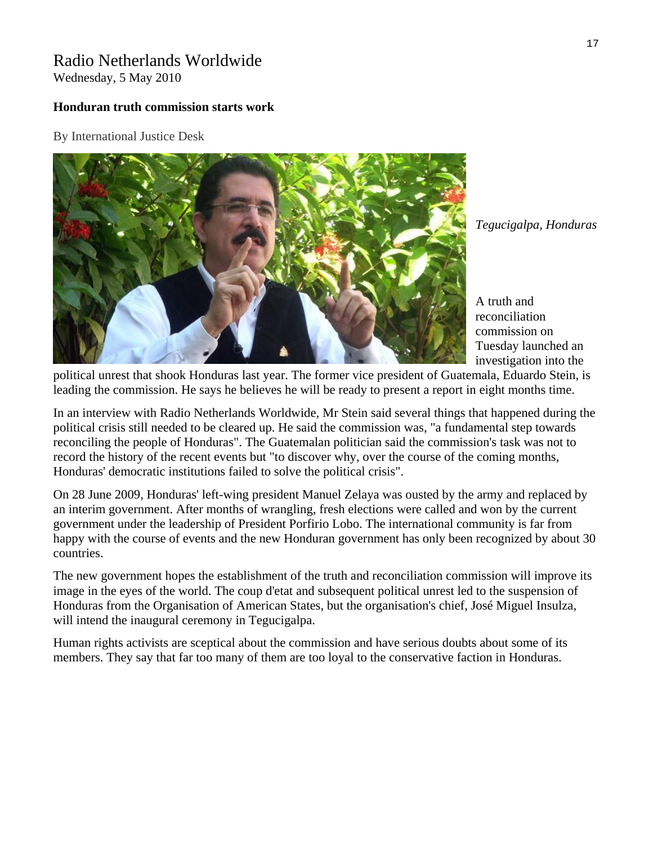# Radio Netherlands Worldwide

Wednesday, 5 May 2010

# **Honduran truth commission starts work**

By International Justice Desk



*Tegucigalpa, Honduras* 

A truth and reconciliation commission on Tuesday launched an investigation into the

political unrest that shook Honduras last year. The former vice president of Guatemala, Eduardo Stein, is leading the commission. He says he believes he will be ready to present a report in eight months time.

In an interview with Radio Netherlands Worldwide, Mr Stein said several things that happened during the political crisis still needed to be cleared up. He said the commission was, "a fundamental step towards reconciling the people of Honduras". The Guatemalan politician said the commission's task was not to record the history of the recent events but "to discover why, over the course of the coming months, Honduras' democratic institutions failed to solve the political crisis".

On 28 June 2009, Honduras' left-wing president Manuel Zelaya was ousted by the army and replaced by an interim government. After months of wrangling, fresh elections were called and won by the current government under the leadership of President Porfirio Lobo. The international community is far from happy with the course of events and the new Honduran government has only been recognized by about 30 countries.

The new government hopes the establishment of the truth and reconciliation commission will improve its image in the eyes of the world. The coup d'etat and subsequent political unrest led to the suspension of Honduras from the Organisation of American States, but the organisation's chief, José Miguel Insulza, will intend the inaugural ceremony in Tegucigalpa.

Human rights activists are sceptical about the commission and have serious doubts about some of its members. They say that far too many of them are too loyal to the conservative faction in Honduras.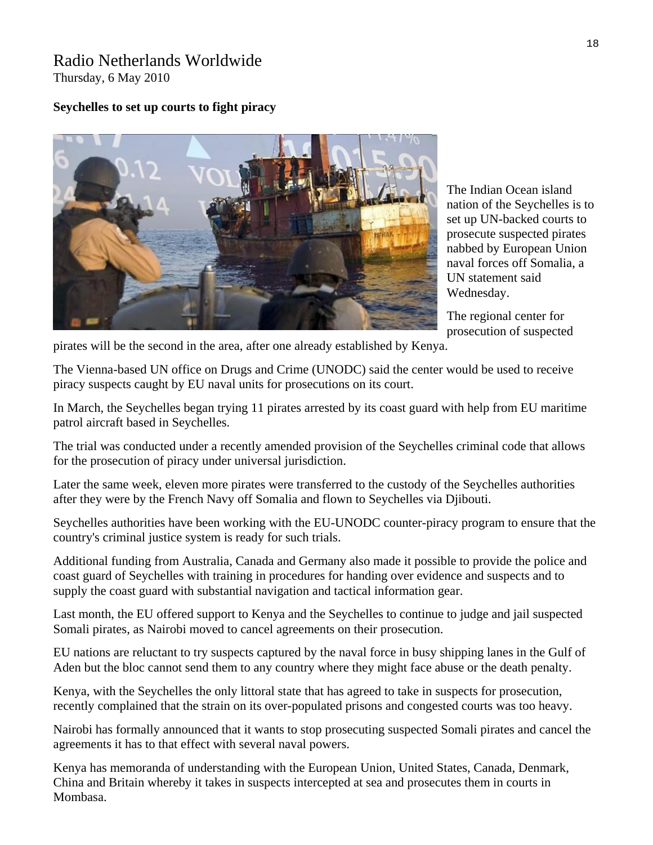# Radio Netherlands Worldwide Thursday, 6 May 2010

# **Seychelles to set up courts to fight piracy**



The Indian Ocean island nation of the Seychelles is to set up UN-backed courts to prosecute suspected pirates nabbed by European Union naval forces off Somalia, a UN statement said Wednesday.

The regional center for prosecution of suspected

pirates will be the second in the area, after one already established by Kenya.

The Vienna-based UN office on Drugs and Crime (UNODC) said the center would be used to receive piracy suspects caught by EU naval units for prosecutions on its court.

In March, the Seychelles began trying 11 pirates arrested by its coast guard with help from EU maritime patrol aircraft based in Seychelles.

The trial was conducted under a recently amended provision of the Seychelles criminal code that allows for the prosecution of piracy under universal jurisdiction.

Later the same week, eleven more pirates were transferred to the custody of the Seychelles authorities after they were by the French Navy off Somalia and flown to Seychelles via Djibouti.

Seychelles authorities have been working with the EU-UNODC counter-piracy program to ensure that the country's criminal justice system is ready for such trials.

Additional funding from Australia, Canada and Germany also made it possible to provide the police and coast guard of Seychelles with training in procedures for handing over evidence and suspects and to supply the coast guard with substantial navigation and tactical information gear.

Last month, the EU offered support to Kenya and the Seychelles to continue to judge and jail suspected Somali pirates, as Nairobi moved to cancel agreements on their prosecution.

EU nations are reluctant to try suspects captured by the naval force in busy shipping lanes in the Gulf of Aden but the bloc cannot send them to any country where they might face abuse or the death penalty.

Kenya, with the Seychelles the only littoral state that has agreed to take in suspects for prosecution, recently complained that the strain on its over-populated prisons and congested courts was too heavy.

Nairobi has formally announced that it wants to stop prosecuting suspected Somali pirates and cancel the agreements it has to that effect with several naval powers.

Kenya has memoranda of understanding with the European Union, United States, Canada, Denmark, China and Britain whereby it takes in suspects intercepted at sea and prosecutes them in courts in Mombasa.